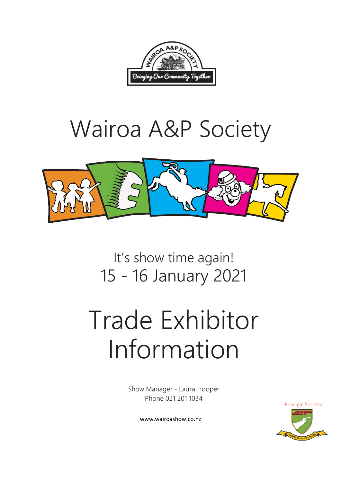

## Wairoa A&P Society



It's show time again! 15 - 16 January 2021

# Trade Exhibitor Information

Show Manager - Laura Hooper Phone 021 201 1034

Principal Sponsor

www.wairoashow.co.nz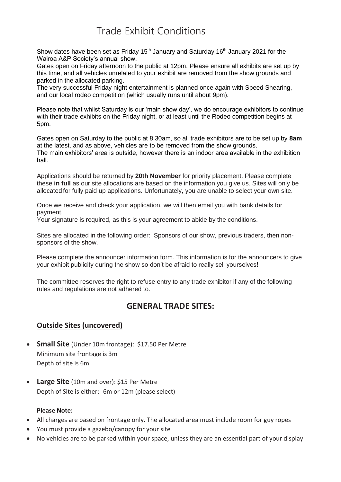## Trade Exhibit Conditions

Show dates have been set as Friday 15<sup>th</sup> January and Saturday 16<sup>th</sup> January 2021 for the Wairoa A&P Society's annual show.

Gates open on Friday afternoon to the public at 12pm. Please ensure all exhibits are set up by this time, and all vehicles unrelated to your exhibit are removed from the show grounds and parked in the allocated parking.

The very successful Friday night entertainment is planned once again with Speed Shearing, and our local rodeo competition (which usually runs until about 9pm).

Please note that whilst Saturday is our 'main show day', we do encourage exhibitors to continue with their trade exhibits on the Friday night, or at least until the Rodeo competition begins at 5pm.

Gates open on Saturday to the public at 8.30am, so all trade exhibitors are to be set up by **8am** at the latest, and as above, vehicles are to be removed from the show grounds. The main exhibitors' area is outside, however there is an indoor area available in the exhibition hall.

Applications should be returned by **20th November** for priority placement. Please complete these **in full** as our site allocations are based on the information you give us. Sites will only be allocated for fully paid up applications. Unfortunately, you are unable to select your own site.

Once we receive and check your application, we will then email you with bank details for payment.

Your signature is required, as this is your agreement to abide by the conditions.

Sites are allocated in the following order: Sponsors of our show, previous traders, then nonsponsors of the show.

Please complete the announcer information form. This information is for the announcers to give your exhibit publicity during the show so don't be afraid to really sell yourselves!

The committee reserves the right to refuse entry to any trade exhibitor if any of the following rules and regulations are not adhered to.

#### **GENERAL TRADE SITES:**

#### **Outside Sites (uncovered)**

- **Small Site** (Under 10m frontage): \$17.50 Per Metre Minimum site frontage is 3m Depth of site is 6m
- **Large Site** (10m and over): \$15 Per Metre Depth of Site is either: 6m or 12m (please select)

#### **Please Note:**

- All charges are based on frontage only. The allocated area must include room for guy ropes
- You must provide a gazebo/canopy for your site
- No vehicles are to be parked within your space, unless they are an essential part of your display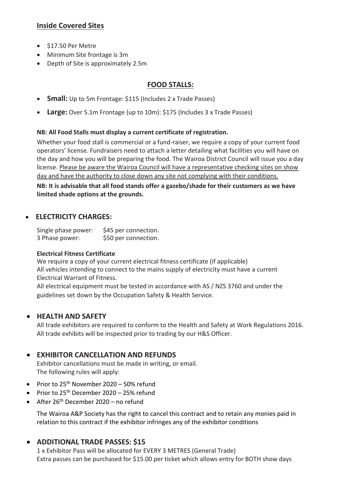#### **Inside Covered Sites**

- $\bullet$  \$17.50 Per Metre
- Minimum Site frontage is 3m
- Depth of Site is approximately 2.5m

#### **FOOD STALLS:**

- **Small:** Up to 5m Frontage: \$115 (Includes 2 x Trade Passes)
- **Large:** Over 5.1m Frontage (up to 10m): \$175 (Includes 3 x Trade Passes)

#### **NB: All Food Stalls must display a current certificate of registration.**

Whether your food stall is commercial or a fund-raiser, we require a copy of your current food operators' license. Fundraisers need to attach a letter detailing what facilities you will have on the day and how you will be preparing the food. The Wairoa District Council will issue you a day license. Please be aware the Wairoa Council will have a representative checking sites on show day and have the authority to close down any site not complying with their conditions. **NB: It is advisable that all food stands offer a gazebo/shade for their customers as we have** 

**limited shade options at the grounds.** 

#### **ELECTRICITY CHARGES:**

Single phase power: \$45 per connection. 3 Phase power: \$50 per connection.

#### **Electrical Fitness Certificate**

We require a copy of your current electrical fitness certificate (if applicable) All vehicles intending to connect to the mains supply of electricity must have a current Electrical Warrant of Fitness.

All electrical equipment must be tested in accordance with AS / NZS 3760 and under the guidelines set down by the Occupation Safety & Health Service.

#### **HEALTH AND SAFETY**

All trade exhibitors are required to conform to the Health and Safety at Work Regulations 2016. All trade exhibits will be inspected prior to trading by our H&S Officer.

#### **EXHIBITOR CANCELLATION AND REFUNDS**

Exhibitor cancellations must be made in writing, or email. The following rules will apply:

- Prior to  $25^{th}$  November  $2020 50\%$  refund
- Prior to 25<sup>th</sup> December 2020 25% refund
- After 26th December 2020 no refund

The Wairoa A&P Society has the right to cancel this contract and to retain any monies paid in relation to this contract if the exhibitor infringes any of the exhibitor conditions

#### **ADDITIONAL TRADE PASSES: \$15**

1 x Exhibitor Pass will be allocated for EVERY 3 METRES (General Trade) Extra passes can be purchased for \$15.00 per ticket which allows entry for BOTH show days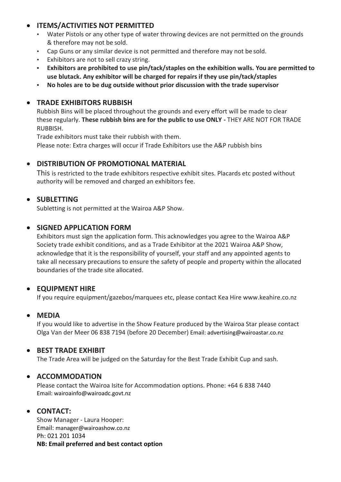#### **ITEMS/ACTIVITIES NOT PERMITTED**

- Water Pistols or any other type of water throwing devices are not permitted on the grounds & therefore may not be sold.
- Cap Guns or any similar device is not permitted and therefore may not be sold.
- Exhibitors are not to sell crazy string.
- **• Exhibitors are prohibited to use pin/tack/staples on the exhibition walls. You are permitted to use blutack. Any exhibitor will be charged for repairs if they use pin/tack/staples**
- **• No holes are to be dug outside without prior discussion with the trade supervisor**

#### **TRADE EXHIBITORS RUBBISH**

Rubbish Bins will be placed throughout the grounds and every effort will be made to clear these regularly. **These rubbish bins are for the public to use ONLY -** THEY ARE NOT FOR TRADE RUBBISH.

Trade exhibitors must take their rubbish with them.

Please note: Extra charges will occur if Trade Exhibitors use the A&P rubbish bins

#### **DISTRIBUTION OF PROMOTIONAL MATERIAL**

This is restricted to the trade exhibitors respective exhibit sites. Placards etc posted without authority will be removed and charged an exhibitors fee.

#### $\bullet$  SUBLETTING

Subletting is not permitted at the Wairoa A&P Show.

#### **• SIGNED APPLICATION FORM**

Exhibitors must sign the application form. This acknowledges you agree to the Wairoa A&P Society trade exhibit conditions, and as a Trade Exhibitor at the 2021 Wairoa A&P Show, acknowledge that it is the responsibility of yourself, your staff and any appointed agents to take all necessary precautions to ensure the safety of people and property within the allocated boundaries of the trade site allocated.

#### **EQUIPMENT HIRE**

If you require equipment/gazebos/marquees etc, please contact Kea Hire www.keahire.co.nz

#### **MEDIA**

If you would like to advertise in the Show Feature produced by the Wairoa Star please contact Olga Van der Meer 06 838 7194 (before 20 December) Email: advertising@wairoastar.co.nz

#### **BEST TRADE EXHIBIT**

The Trade Area will be judged on the Saturday for the Best Trade Exhibit Cup and sash.

#### **ACCOMMODATION**

Please contact the Wairoa Isite for Accommodation options. Phone: +64 6 838 7440 Email: wairoainfo@wairoadc.govt.nz

#### **CONTACT:**

Show Manager - Laura Hooper: Email: manager@wairoashow.co.nz Ph: 021 201 1034 **NB: Email preferred and best contact option**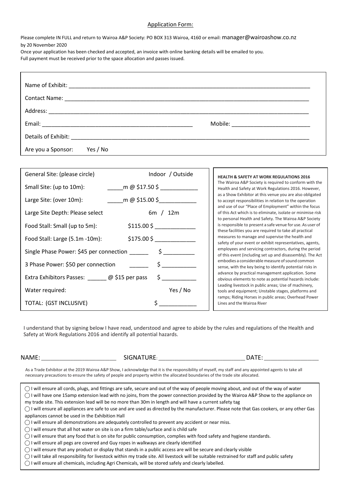#### Application Form:

Please complete IN FULL and return to Wairoa A&P Society: PO BOX 313 Wairoa, 4160 or email: manager@wairoashow.co.nz by 20 November 2020

Once your application has been checked and accepted, an invoice with online banking details will be emailed to you. Full payment must be received prior to the space allocation and passes issued.

|                                | Mobile: _____________________________ |
|--------------------------------|---------------------------------------|
|                                |                                       |
| Yes / No<br>Are you a Sponsor: |                                       |

| General Site: (please circle)               | Indoor / Outside                                                                       |
|---------------------------------------------|----------------------------------------------------------------------------------------|
| Small Site: (up to 10m):                    | m @ $$17.50$ \$                                                                        |
| Large Site: (over 10m):                     |                                                                                        |
| Large Site Depth: Please select             | 6m / 12m                                                                               |
| Food Stall: Small (up to 5m):               | $$115.00 $$ $\overline{\phantom{2}}$ $\overline{\phantom{2}}$ $\overline{\phantom{2}}$ |
| Food Stall: Large (5.1m -10m):              | \$175.00 \$                                                                            |
|                                             |                                                                                        |
| 3 Phase Power: \$50 per connection ______   | $\zeta$                                                                                |
| Extra Exhibitors Passes: @ \$15 per pass \$ |                                                                                        |
| Water required:                             | Yes / No                                                                               |
| TOTAL: (GST INCLUSIVE)                      | Ś                                                                                      |

**HEALTH & SAFETY AT WORK REGULATIONS 2016** The Wairoa A&P Society is required to conform with the Health and Safety at Work Regulations 2016. However, as a Show Exhibitor at this venue you are also obligated to accept responsibilities in relation to the operation and use of our "Place of Employment" within the focus of this Act which is to eliminate, isolate or minimise risk to personal Health and Safety. The Wairoa A&P Society is responsible to present a safe venue for use. As user of these facilities you are required to take all practical measures to manage and supervise the health and safety of your event or exhibit representatives, agents, employees and servicing contractors, during the period of this event (including set up and disassembly). The Act embodies a considerable measure of sound common sense, with the key being to identify potential risks in advance by practical management application. Some obvious elements to note as potential hazards include: Leading livestock in public areas; Use of machinery, tools and equipment; Unstable stages, platforms and ramps; Riding Horses in public areas; Overhead Power Lines and the Wairoa River

I understand that by signing below I have read, understood and agree to abide by the rules and regulations of the Health and Safety at Work Regulations 2016 and identify all potential hazards.

NAME: \_\_\_\_\_\_\_\_\_\_\_\_\_\_\_\_\_\_\_\_\_\_\_\_\_\_\_\_\_\_\_\_\_ SIGNATURE: \_\_\_\_\_\_\_\_\_\_\_\_\_\_\_\_\_\_\_\_\_\_\_\_\_\_\_\_\_\_\_\_\_\_\_\_\_\_ DATE: \_\_\_\_\_\_\_\_\_\_\_\_\_\_\_\_\_\_\_\_\_\_\_\_

As a Trade Exhibitor at the 2019 Wairoa A&P Show, I acknowledge that it is the responsibility of myself, my staff and any appointed agents to take all necessary precautions to ensure the safety of people and property within the allocated boundaries of the trade site allocated.

 $\bigcap$  I will ensure all cords, plugs, and fittings are safe, secure and out of the way of people moving about, and out of the way of water ◯ I will have one 15amp extension lead with no joins, from the power connection provided by the Wairoa A&P Show to the appliance on my trade site. This extension lead will be no more than 30m in length and will have a current safety tag  $\bigcirc$  I will ensure all appliances are safe to use and are used as directed by the manufacturer. Please note that Gas cookers, or any other Gas appliances cannot be used in the Exhibition Hall

 $\bigcirc$  I will ensure all demonstrations are adequately controlled to prevent any accident or near miss.

 $\bigcirc$  I will ensure that all hot water on site is on a firm table/surface and is child safe

◯ I will ensure that any food that is on site for public consumption, complies with food safety and hygiene standards.

 $\bigcirc$  I will ensure all pegs are covered and Guy ropes in walkways are clearly identified

 $\bigcap$  I will ensure that any product or display that stands in a public access are will be secure and clearly visible

 $\bigcap$  I will take all responsibility for livestock within my trade site. All livestock will be suitable restrained for staff and public safety

◯ I will ensure all chemicals, including Agri Chemicals, will be stored safely and clearly labelled.